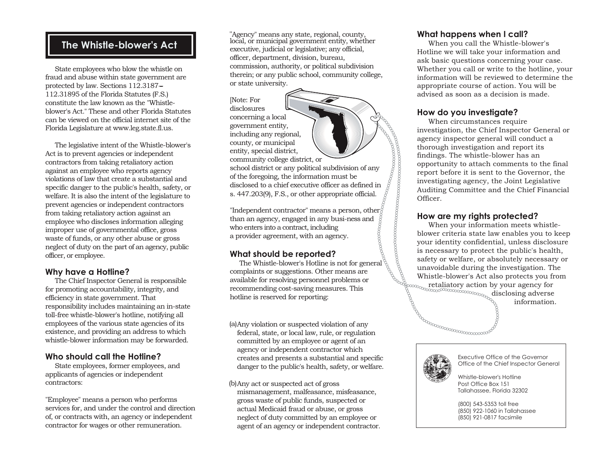## **The Whistle-blower's Act**

 State employees who blow the whistle on fraud and abuse within state government are protected by law. Sections 112.3187-- 112.31895 of the Florida Statutes (F.S.) constitute the law known as the "Whistleblower's Act." These and other Florida Statutes can be viewed on the official internet site of the Florida Legislature at www.leg.state.fl.us.

 The legislative intent of the Whistle-blower's Act is to prevent agencies or independent contractors from taking retaliatory action against an employee who reports agency violations of law that create a substantial and specific danger to the public's health, safety, or welfare. It is also the intent of the legislature to prevent agencies or independent contractors from taking retaliatory action against an employee who discloses information alleging improper use of governmental office, gross waste of funds, or any other abuse or gross neglect of duty on the part of an agency, public officer, or employee.

#### **Why have a Hotline?**

 The Chief Inspector General is responsible for promoting accountability, integrity, and efficiency in state government. That responsibility includes maintaining an in-state toll-free whistle-blower's hotline, notifying all employees of the various state agencies of its existence, and providing an address to which whistle-blower information may be forwarded.

#### **Who should call the Hotline?**

 State employees, former employees, and applicants of agencies or independent contractors:

"Employee" means a person who performs services for, and under the control and direction of, or contracts with, an agency or independent contractor for wages or other remuneration.

"Agency" means any state, regional, county, local, or municipal government entity, whether executive, judicial or legislative; any official, officer, department, division, bureau, commission, authority, or political subdivision therein; or any public school, community college, or state university.

[Note: For disclosures concerning a local government entity, including any regional, county, or municipal entity, special district, community college district, or

school district or any political subdivision of any of the foregoing, the information must be disclosed to a chief executive officer as defined in s. 447.203(9), F.S., or other appropriate official.

"Independent contractor" means a person, other  $\delta$ than an agency, engaged in any busi-ness and who enters into a contract, including a provider agreement, with an agency.

### **What should be reported?**

 The Whistle-blower's Hotline is not for general complaints or suggestions. Other means are available for resolving personnel problems or recommending cost-saving measures. This hotline is reserved for reporting:

Any violation or suspected violation of any (a) federal, state, or local law, rule, or regulation committed by an employee or agent of an agency or independent contractor which creates and presents a substantial and specific danger to the public's health, safety, or welfare.

(b) Any act or suspected act of gross mismanagement, malfeasance, misfeasance, gross waste of public funds, suspected or actual Medicaid fraud or abuse, or gross neglect of duty committed by an employee or agent of an agency or independent contractor.

#### **What happens when I call?**

 When you call the Whistle-blower's Hotline we will take your information and ask basic questions concerning your case. Whether you call or write to the hotline, your information will be reviewed to determine the appropriate course of action. You will be advised as soon as a decision is made.

#### **How do you investigate?**

When circumstances require investigation, the Chief Inspector General or agency inspector general will conduct a thorough investigation and report its findings. The whistle-blower has an opportunity to attach comments to the final report before it is sent to the Governor, the investigating agency, the Joint Legislative Auditing Committee and the Chief Financial Officer.

#### **How are my rights protected?**

 When your information meets whistleblower criteria state law enables you to keep your identity confidential, unless disclosure is necessary to protect the public's health, safety or welfare, or absolutely necessary or unavoidable during the investigation. The Whistle-blower's Act also protects you from retaliatory action by your agency for

> disclosing adverse information.



Executive Office of the Governor Office of the Chief Inspector General

Whistle-blower's Hotline Post Office Box 151 Tallahassee, Florida 32302

(800) 543-5353 toll free (850) 922-1060 in Tallahassee (850) 921-0817 facsimile